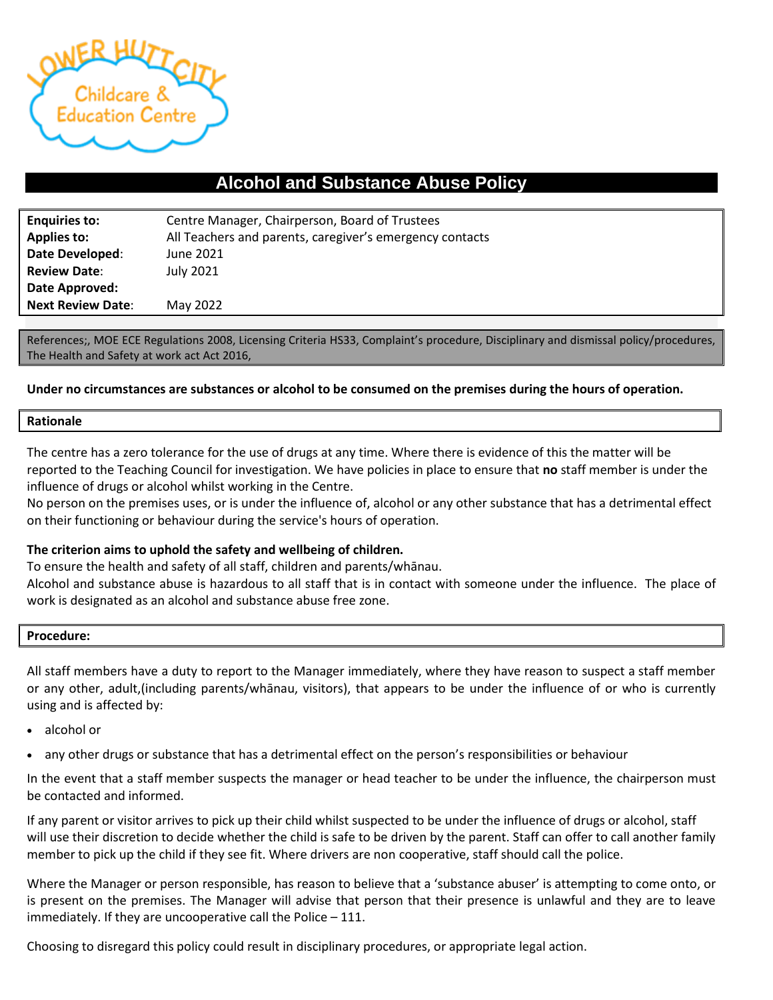

# **Alcohol and Substance Abuse Policy**

| <b>Enquiries to:</b>     | Centre Manager, Chairperson, Board of Trustees           |  |  |
|--------------------------|----------------------------------------------------------|--|--|
| <b>Applies to:</b>       | All Teachers and parents, caregiver's emergency contacts |  |  |
| Date Developed:          | June 2021                                                |  |  |
| <b>Review Date:</b>      | <b>July 2021</b>                                         |  |  |
| Date Approved:           |                                                          |  |  |
| <b>Next Review Date:</b> | May 2022                                                 |  |  |

References;, MOE ECE Regulations 2008, Licensing Criteria HS33, Complaint's procedure, Disciplinary and dismissal policy/procedures, The Health and Safety at work act Act 2016,

## **Under no circumstances are substances or alcohol to be consumed on the premises during the hours of operation.**

### **Rationale**

The centre has a zero tolerance for the use of drugs at any time. Where there is evidence of this the matter will be reported to the Teaching Council for investigation. We have policies in place to ensure that **no** staff member is under the influence of drugs or alcohol whilst working in the Centre.

No person on the premises uses, or is under the influence of, alcohol or any other substance that has a detrimental effect on their functioning or behaviour during the service's hours of operation.

### **The criterion aims to uphold the safety and wellbeing of children.**

To ensure the health and safety of all staff, children and parents/whānau.

Alcohol and substance abuse is hazardous to all staff that is in contact with someone under the influence. The place of work is designated as an alcohol and substance abuse free zone.

### **Procedure:**

All staff members have a duty to report to the Manager immediately, where they have reason to suspect a staff member or any other, adult,(including parents/whānau, visitors), that appears to be under the influence of or who is currently using and is affected by:

- alcohol or
- any other drugs or substance that has a detrimental effect on the person's responsibilities or behaviour

In the event that a staff member suspects the manager or head teacher to be under the influence, the chairperson must be contacted and informed.

If any parent or visitor arrives to pick up their child whilst suspected to be under the influence of drugs or alcohol, staff will use their discretion to decide whether the child is safe to be driven by the parent. Staff can offer to call another family member to pick up the child if they see fit. Where drivers are non cooperative, staff should call the police.

Where the Manager or person responsible, has reason to believe that a 'substance abuser' is attempting to come onto, or is present on the premises. The Manager will advise that person that their presence is unlawful and they are to leave immediately. If they are uncooperative call the Police – 111.

Choosing to disregard this policy could result in disciplinary procedures, or appropriate legal action.